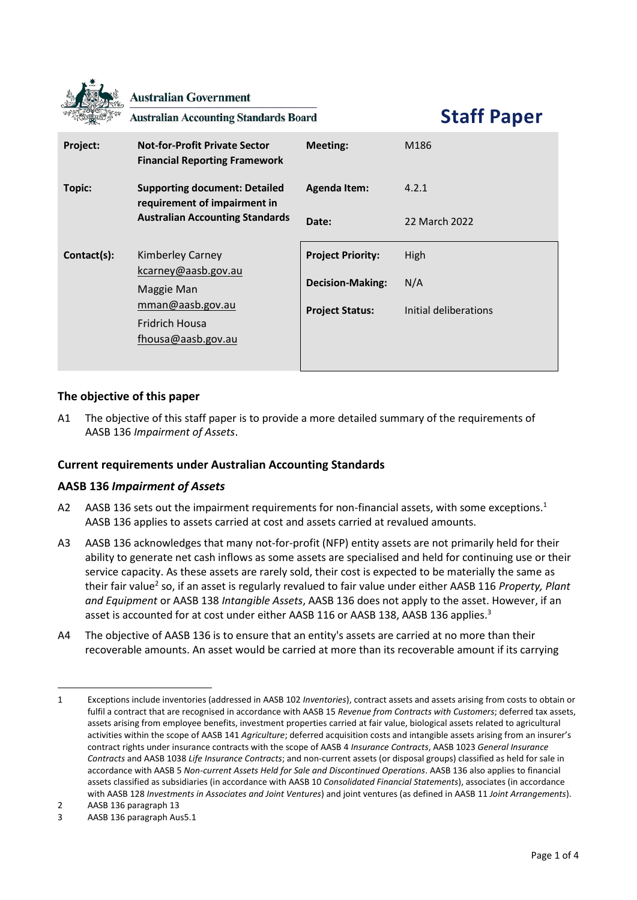|             | <b>Australian Government</b><br><b>Australian Accounting Standards Board</b> |                          | <b>Staff Paper</b>    |
|-------------|------------------------------------------------------------------------------|--------------------------|-----------------------|
| Project:    | <b>Not-for-Profit Private Sector</b><br><b>Financial Reporting Framework</b> | <b>Meeting:</b>          | M186                  |
| Topic:      | <b>Supporting document: Detailed</b><br>requirement of impairment in         | <b>Agenda Item:</b>      | 4.2.1                 |
|             | <b>Australian Accounting Standards</b>                                       | Date:                    | 22 March 2022         |
| Contact(s): | <b>Kimberley Carney</b><br>kcarney@aasb.gov.au<br>Maggie Man                 | <b>Project Priority:</b> | High                  |
|             |                                                                              | <b>Decision-Making:</b>  | N/A                   |
|             | mman@aasb.gov.au                                                             | <b>Project Status:</b>   | Initial deliberations |
|             | <b>Fridrich Housa</b><br>fhousa@aasb.gov.au                                  |                          |                       |

# **The objective of this paper**

A1 The objective of this staff paper is to provide a more detailed summary of the requirements of AASB 136 *Impairment of Assets*.

## **Current requirements under Australian Accounting Standards**

## **AASB 136** *Impairment of Assets*

- A2 AASB 136 sets out the impairment requirements for non-financial assets, with some exceptions.<sup>1</sup> AASB 136 applies to assets carried at cost and assets carried at revalued amounts.
- A3 AASB 136 acknowledges that many not-for-profit (NFP) entity assets are not primarily held for their ability to generate net cash inflows as some assets are specialised and held for continuing use or their service capacity. As these assets are rarely sold, their cost is expected to be materially the same as their fair value<sup>2</sup> so, if an asset is regularly revalued to fair value under either AASB 116 *Property, Plant and Equipment* or AASB 138 *Intangible Assets*, AASB 136 does not apply to the asset. However, if an asset is accounted for at cost under either AASB 116 or AASB 138, AASB 136 applies.<sup>3</sup>
- A4 The objective of AASB 136 is to ensure that an entity's assets are carried at no more than their recoverable amounts. An asset would be carried at more than its recoverable amount if its carrying

<sup>1</sup> Exceptions include inventories (addressed in AASB 102 *Inventories*), contract assets and assets arising from costs to obtain or fulfil a contract that are recognised in accordance with AASB 15 *Revenue from Contracts with Customers*; deferred tax assets, assets arising from employee benefits, investment properties carried at fair value, biological assets related to agricultural activities within the scope of AASB 141 *Agriculture*; deferred acquisition costs and intangible assets arising from an insurer's contract rights under insurance contracts with the scope of AASB 4 *Insurance Contracts*, AASB 1023 *General Insurance Contracts* and AASB 1038 *Life Insurance Contracts*; and non-current assets (or disposal groups) classified as held for sale in accordance with AASB 5 *Non-current Assets Held for Sale and Discontinued Operations*. AASB 136 also applies to financial assets classified as subsidiaries (in accordance with AASB 10 *Consolidated Financial Statements*), associates (in accordance with AASB 128 *Investments in Associates and Joint Ventures*) and joint ventures (as defined in AASB 11 *Joint Arrangements*).

<sup>2</sup> AASB 136 paragraph 13

<sup>3</sup> AASB 136 paragraph Aus5.1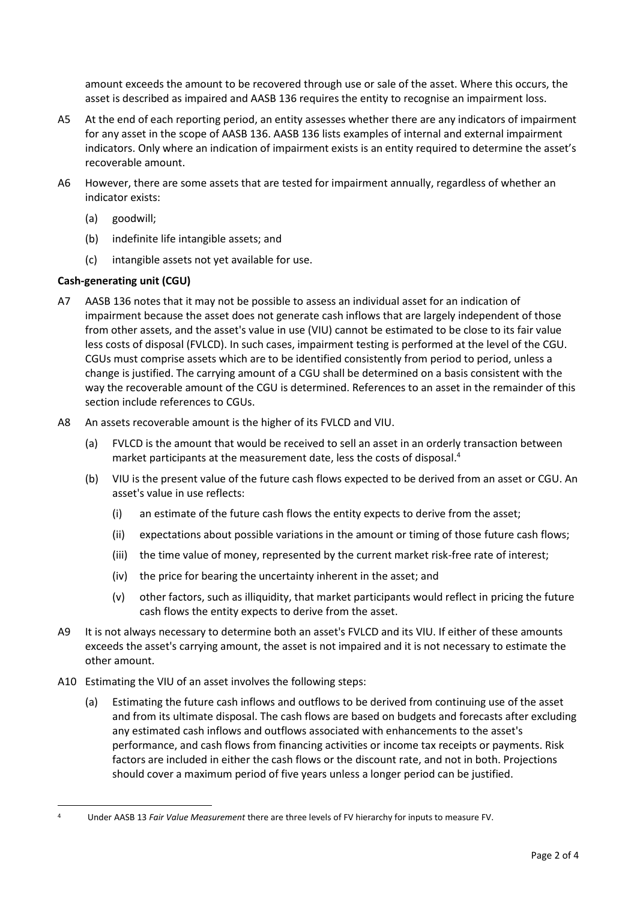amount exceeds the amount to be recovered through use or sale of the asset. Where this occurs, the asset is described as impaired and AASB 136 requires the entity to recognise an impairment loss.

- A5 At the end of each reporting period, an entity assesses whether there are any indicators of impairment for any asset in the scope of AASB 136. AASB 136 lists examples of internal and external impairment indicators. Only where an indication of impairment exists is an entity required to determine the asset's recoverable amount.
- A6 However, there are some assets that are tested for impairment annually, regardless of whether an indicator exists:
	- (a) goodwill;
	- (b) indefinite life intangible assets; and
	- (c) intangible assets not yet available for use.

## **Cash-generating unit (CGU)**

- A7 AASB 136 notes that it may not be possible to assess an individual asset for an indication of impairment because the asset does not generate cash inflows that are largely independent of those from other assets, and the asset's value in use (VIU) cannot be estimated to be close to its fair value less costs of disposal (FVLCD). In such cases, impairment testing is performed at the level of the CGU. CGUs must comprise assets which are to be identified consistently from period to period, unless a change is justified. The carrying amount of a CGU shall be determined on a basis consistent with the way the recoverable amount of the CGU is determined. References to an asset in the remainder of this section include references to CGUs.
- A8 An assets recoverable amount is the higher of its FVLCD and VIU.
	- (a) FVLCD is the amount that would be received to sell an asset in an orderly transaction between market participants at the measurement date, less the costs of disposal. 4
	- (b) VIU is the present value of the future cash flows expected to be derived from an asset or CGU. An asset's value in use reflects:
		- (i) an estimate of the future cash flows the entity expects to derive from the asset;
		- (ii) expectations about possible variations in the amount or timing of those future cash flows;
		- (iii) the time value of money, represented by the current market risk-free rate of interest;
		- (iv) the price for bearing the uncertainty inherent in the asset; and
		- (v) other factors, such as illiquidity, that market participants would reflect in pricing the future cash flows the entity expects to derive from the asset.
- A9 It is not always necessary to determine both an asset's FVLCD and its VIU. If either of these amounts exceeds the asset's carrying amount, the asset is not impaired and it is not necessary to estimate the other amount.
- A10 Estimating the VIU of an asset involves the following steps:
	- (a) Estimating the future cash inflows and outflows to be derived from continuing use of the asset and from its ultimate disposal. The cash flows are based on budgets and forecasts after excluding any estimated cash inflows and outflows associated with enhancements to the asset's performance, and cash flows from financing activities or income tax receipts or payments. Risk factors are included in either the cash flows or the discount rate, and not in both. Projections should cover a maximum period of five years unless a longer period can be justified.

<sup>4</sup> Under AASB 13 *Fair Value Measurement* there are three levels of FV hierarchy for inputs to measure FV.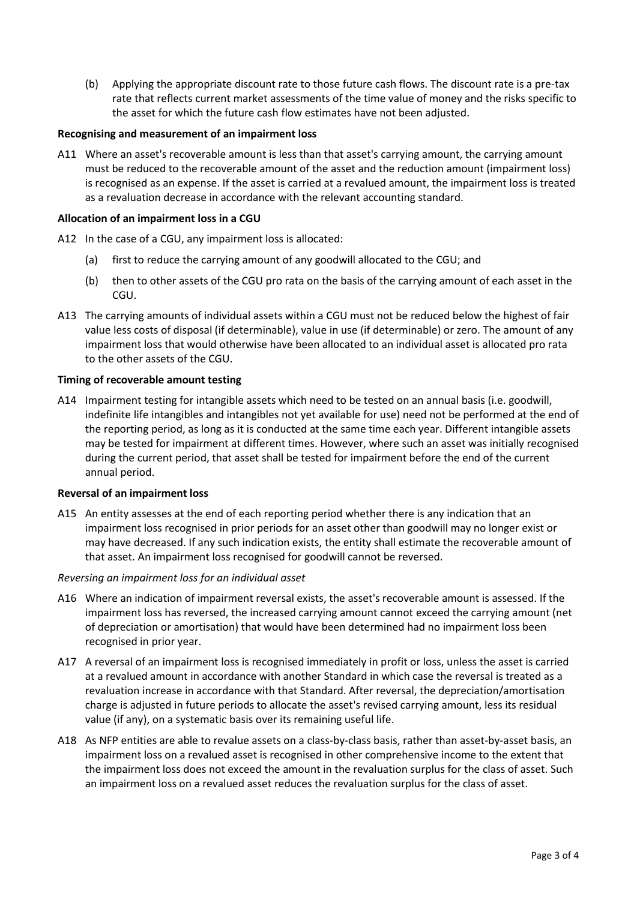(b) Applying the appropriate discount rate to those future cash flows. The discount rate is a pre-tax rate that reflects current market assessments of the time value of money and the risks specific to the asset for which the future cash flow estimates have not been adjusted.

### **Recognising and measurement of an impairment loss**

A11 Where an asset's recoverable amount is less than that asset's carrying amount, the carrying amount must be reduced to the recoverable amount of the asset and the reduction amount (impairment loss) is recognised as an expense. If the asset is carried at a revalued amount, the impairment loss is treated as a revaluation decrease in accordance with the relevant accounting standard.

### **Allocation of an impairment loss in a CGU**

- A12 In the case of a CGU, any impairment loss is allocated:
	- (a) first to reduce the carrying amount of any goodwill allocated to the CGU; and
	- (b) then to other assets of the CGU pro rata on the basis of the carrying amount of each asset in the CGU.
- A13 The carrying amounts of individual assets within a CGU must not be reduced below the highest of fair value less costs of disposal (if determinable), value in use (if determinable) or zero. The amount of any impairment loss that would otherwise have been allocated to an individual asset is allocated pro rata to the other assets of the CGU.

### **Timing of recoverable amount testing**

A14 Impairment testing for intangible assets which need to be tested on an annual basis (i.e. goodwill, indefinite life intangibles and intangibles not yet available for use) need not be performed at the end of the reporting period, as long as it is conducted at the same time each year. Different intangible assets may be tested for impairment at different times. However, where such an asset was initially recognised during the current period, that asset shall be tested for impairment before the end of the current annual period.

#### **Reversal of an impairment loss**

A15 An entity assesses at the end of each reporting period whether there is any indication that an impairment loss recognised in prior periods for an asset other than goodwill may no longer exist or may have decreased. If any such indication exists, the entity shall estimate the recoverable amount of that asset. An impairment loss recognised for goodwill cannot be reversed.

#### *Reversing an impairment loss for an individual asset*

- A16 Where an indication of impairment reversal exists, the asset's recoverable amount is assessed. If the impairment loss has reversed, the increased carrying amount cannot exceed the carrying amount (net of depreciation or amortisation) that would have been determined had no impairment loss been recognised in prior year.
- A17 A reversal of an impairment loss is recognised immediately in profit or loss, unless the asset is carried at a revalued amount in accordance with another Standard in which case the reversal is treated as a revaluation increase in accordance with that Standard. After reversal, the depreciation/amortisation charge is adjusted in future periods to allocate the asset's revised carrying amount, less its residual value (if any), on a systematic basis over its remaining useful life.
- A18 As NFP entities are able to revalue assets on a class-by-class basis, rather than asset-by-asset basis, an impairment loss on a revalued asset is recognised in other comprehensive income to the extent that the impairment loss does not exceed the amount in the revaluation surplus for the class of asset. Such an impairment loss on a revalued asset reduces the revaluation surplus for the class of asset.